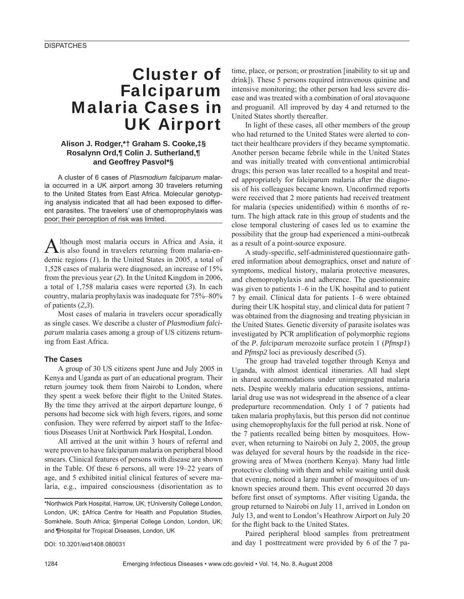# Cluster of Falciparum Malaria Cases in UK Airport

## **Alison J. Rodger,\*† Graham S. Cooke,‡§ Rosalynn Ord,¶ Colin J. Sutherland,¶ and Geoffrey Pasvol\*§**

A cluster of 6 cases of *Plasmodium falciparum* malaria occurred in a UK airport among 30 travelers returning to the United States from East Africa. Molecular genotyping analysis indicated that all had been exposed to different parasites. The travelers' use of chemoprophylaxis was poor; their perception of risk was limited.

Although most malaria occurs in Africa and Asia, it is also found in travelers returning from malaria-endemic regions (*1*). In the United States in 2005, a total of 1,528 cases of malaria were diagnosed, an increase of 15% from the previous year (*2*). In the United Kingdom in 2006, a total of 1,758 malaria cases were reported (*3*). In each country, malaria prophylaxis was inadequate for 75%–80% of patients (*2*,*3*).

Most cases of malaria in travelers occur sporadically as single cases. We describe a cluster of *Plasmodium falciparum* malaria cases among a group of US citizens returning from East Africa.

## **The Cases**

A group of 30 US citizens spent June and July 2005 in Kenya and Uganda as part of an educational program. Their return journey took them from Nairobi to London, where they spent a week before their flight to the United States. By the time they arrived at the airport departure lounge, 6 persons had become sick with high fevers, rigors, and some confusion. They were referred by airport staff to the Infectious Diseases Unit at Northwick Park Hospital, London.

All arrived at the unit within 3 hours of referral and were proven to have falciparum malaria on peripheral blood smears. Clinical features of persons with disease are shown in the Table. Of these 6 persons, all were 19–22 years of age, and 5 exhibited initial clinical features of severe malaria, e.g., impaired consciousness (disorientation as to

DOI: 10.3201/eid1408.080031

time, place, or person; or prostration [inability to sit up and drink]). These 5 persons required intravenous quinine and intensive monitoring; the other person had less severe disease and was treated with a combination of oral atovaquone and proguanil. All improved by day 4 and returned to the United States shortly thereafter.

In light of these cases, all other members of the group who had returned to the United States were alerted to contact their healthcare providers if they became symptomatic. Another person became febrile while in the United States and was initially treated with conventional antimicrobial drugs; this person was later recalled to a hospital and treated appropriately for falciparum malaria after the diagnosis of his colleagues became known. Unconfirmed reports were received that 2 more patients had received treatment for malaria (species unidentified) within 6 months of return. The high attack rate in this group of students and the close temporal clustering of cases led us to examine the possibility that the group had experienced a mini-outbreak as a result of a point-source exposure.

A study-specific, self-administered questionnaire gathered information about demographics, onset and nature of symptoms, medical history, malaria protective measures, and chemoprophylaxis and adherence. The questionnaire was given to patients 1–6 in the UK hospital and to patient 7 by email. Clinical data for patients 1–6 were obtained during their UK hospital stay, and clinical data for patient 7 was obtained from the diagnosing and treating physician in the United States. Genetic diversity of parasite isolates was investigated by PCR amplification of polymorphic regions of the *P. falciparum* merozoite surface protein 1 (*Pfmsp1*) and *Pfmsp2* loci as previously described (*5*).

The group had traveled together through Kenya and Uganda, with almost identical itineraries. All had slept in shared accommodations under unimpregnated malaria nets. Despite weekly malaria education sessions, antimalarial drug use was not widespread in the absence of a clear predeparture recommendation. Only 1 of 7 patients had taken malaria prophylaxis, but this person did not continue using chemoprophylaxis for the full period at risk. None of the 7 patients recalled being bitten by mosquitoes. However, when returning to Nairobi on July 2, 2005, the group was delayed for several hours by the roadside in the ricegrowing area of Mwea (northern Kenya). Many had little protective clothing with them and while waiting until dusk that evening, noticed a large number of mosquitoes of unknown species around them. This event occurred 20 days before first onset of symptoms. After visiting Uganda, the group returned to Nairobi on July 11, arrived in London on July 13, and went to London's Heathrow Airport on July 20 for the flight back to the United States.

Paired peripheral blood samples from pretreatment and day 1 posttreatment were provided by 6 of the 7 pa-

<sup>\*</sup>Northwick Park Hospital, Harrow, UK; †University College London, London, UK; ‡Africa Centre for Health and Population Studies, Somkhele, South Africa; §Imperial College London, London, UK; and ¶Hospital for Tropical Diseases, London, UK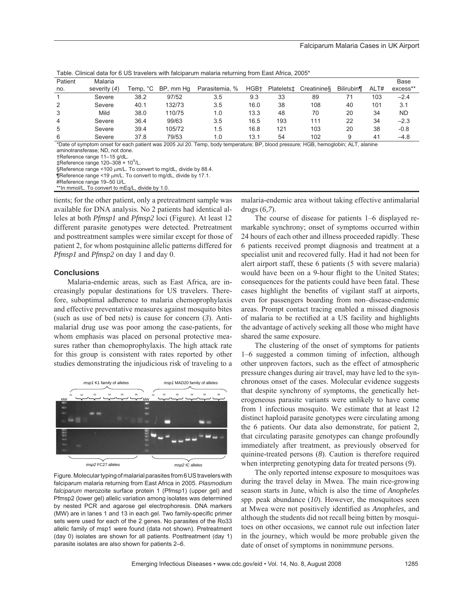| rapic. Olimoaradia for o OO travelero with raloiparam malana retarming from East Almoa, 2000 |                |          |           |                |      |                        |            |                  |      |             |
|----------------------------------------------------------------------------------------------|----------------|----------|-----------|----------------|------|------------------------|------------|------------------|------|-------------|
| Patient                                                                                      | Malaria        |          |           |                |      |                        |            |                  |      | <b>Base</b> |
| no.                                                                                          | severity $(4)$ | Temp, °C | BP, mm Hq | Parasitemia, % | HGB+ | Platelets <sup>+</sup> | Creatinine | <b>Bilirubin</b> | ALT# | excess**    |
|                                                                                              | Severe         | 38.2     | 97/52     | 3.5            | 9.3  | 33                     | 89         | 71               | 103  | $-2.4$      |
| 2                                                                                            | Severe         | 40.1     | 132/73    | 3.5            | 16.0 | 38                     | 108        | 40               | 101  | 3.1         |
| 3                                                                                            | Mild           | 38.0     | 110/75    | 1.0            | 13.3 | 48                     | 70         | 20               | 34   | <b>ND</b>   |
| 4                                                                                            | Severe         | 36.4     | 99/63     | 3.5            | 16.5 | 193                    | 111        | 22               | 34   | $-2.3$      |
| 5                                                                                            | Severe         | 39.4     | 105/72    | 1.5            | 16.8 | 121                    | 103        | 20               | 38   | $-0.8$      |
| 6                                                                                            | Severe         | 37.8     | 79/53     | 1.0            | 13.1 | 54                     | 102        | ö                | 41   | $-4.8$      |

Table. Clinical data for 6 US travelers with falciparum malaria returning from East Africa, 2005\*

\*Date of symptom onset for each patient was 2005 Jul 20. Temp, body temperature; BP, blood pressure; HGB, hemoglobin; ALT, alanine aminotransferase; ND, not done.

†Reference range 11–15 g/dL.

 $\ddagger$ Reference range 120-308 × 10<sup>9</sup>/L.

§Reference range <100 µm/L. To convert to mg/dL, divide by 88.4.

 $\P$ Reference range <19  $\mu$ m/L. To convert to mg/dL, divide by 17.1.

#Reference range 19–50 U/L.

\*\*In mmol/L. To convert to mEq/L, divide by 1.0.

tients; for the other patient, only a pretreatment sample was available for DNA analysis. No 2 patients had identical alleles at both *Pfmsp1* and *Pfmsp2* loci (Figure). At least 12 different parasite genotypes were detected*.* Pretreatment and posttreatment samples were similar except for those of patient 2, for whom postquinine allelic patterns differed for *Pfmsp1* and *Pfmsp2* on day 1 and day 0.

#### **Conclusions**

Malaria-endemic areas, such as East Africa, are increasingly popular destinations for US travelers. Therefore, suboptimal adherence to malaria chemoprophylaxis and effective preventative measures against mosquito bites (such as use of bed nets) is cause for concern (*3*). Antimalarial drug use was poor among the case-patients, for whom emphasis was placed on personal protective measures rather than chemoprophylaxis. The high attack rate for this group is consistent with rates reported by other studies demonstrating the injudicious risk of traveling to a



Figure. Molecular typing of malarial parasites from 6 US travelers with falciparum malaria returning from East Africa in 2005. *Plasmodium falciparum* merozoite surface protein 1 (Pfmsp1) (upper gel) and Pfmsp2 (lower gel) allelic variation among isolates was determined by nested PCR and agarose gel electrophoresis. DNA markers (MW) are in lanes 1 and 13 in each gel. Two family-specific primer sets were used for each of the 2 genes. No parasites of the Ro33 allelic family of msp1 were found (data not shown). Pretreatment (day 0) isolates are shown for all patients. Posttreatment (day 1) parasite isolates are also shown for patients 2–6.

malaria-endemic area without taking effective antimalarial drugs (*6,7*).

The course of disease for patients 1–6 displayed remarkable synchrony; onset of symptoms occurred within 24 hours of each other and illness proceeded rapidly. These 6 patients received prompt diagnosis and treatment at a specialist unit and recovered fully. Had it had not been for alert airport staff, these 6 patients (5 with severe malaria) would have been on a 9-hour flight to the United States; consequences for the patients could have been fatal. These cases highlight the benefits of vigilant staff at airports, even for passengers boarding from non–disease-endemic areas. Prompt contact tracing enabled a missed diagnosis of malaria to be rectified at a US facility and highlights the advantage of actively seeking all those who might have shared the same exposure.

The clustering of the onset of symptoms for patients 1–6 suggested a common timing of infection, although other unproven factors, such as the effect of atmospheric pressure changes during air travel, may have led to the synchronous onset of the cases. Molecular evidence suggests that despite synchrony of symptoms, the genetically heterogeneous parasite variants were unlikely to have come from 1 infectious mosquito. We estimate that at least 12 distinct haploid parasite genotypes were circulating among the 6 patients. Our data also demonstrate, for patient 2, that circulating parasite genotypes can change profoundly immediately after treatment, as previously observed for quinine-treated persons (*8*). Caution is therefore required when interpreting genotyping data for treated persons (*9*).

The only reported intense exposure to mosquitoes was during the travel delay in Mwea. The main rice-growing season starts in June, which is also the time of *Anopheles* spp. peak abundance (*10*). However, the mosquitoes seen at Mwea were not positively identified as *Anopheles*, and although the students did not recall being bitten by mosquitoes on other occasions, we cannot rule out infection later in the journey, which would be more probable given the date of onset of symptoms in nonimmune persons.